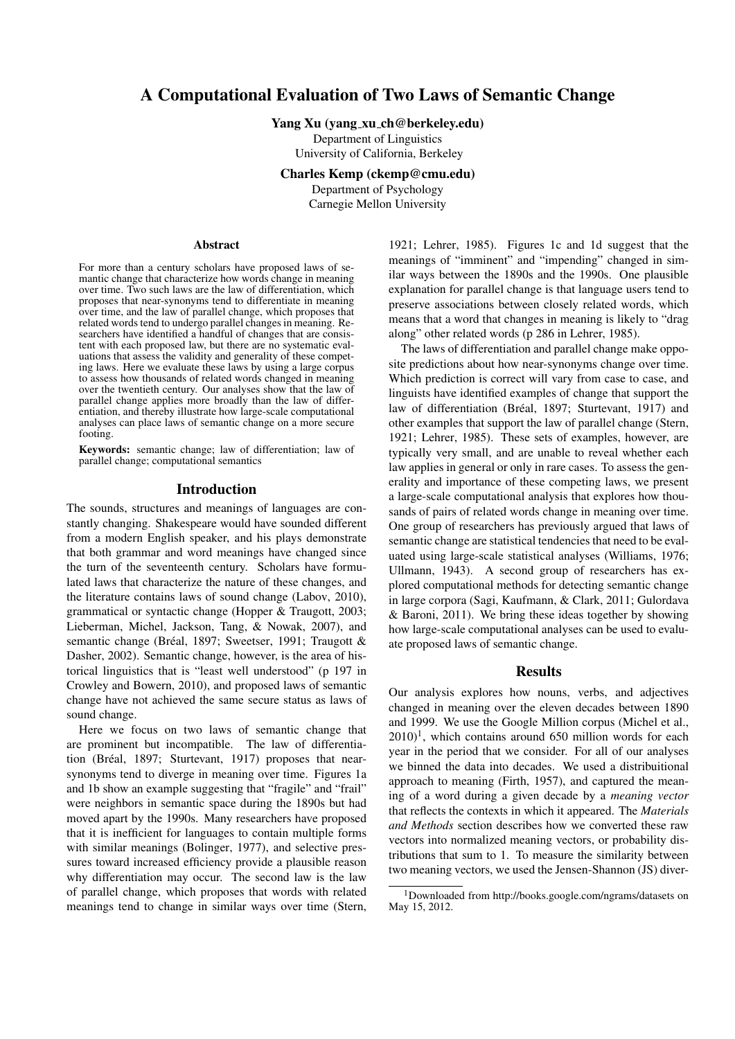# A Computational Evaluation of Two Laws of Semantic Change

Yang Xu (yang xu ch@berkeley.edu)

Department of Linguistics University of California, Berkeley

Charles Kemp (ckemp@cmu.edu)

Department of Psychology

Carnegie Mellon University

#### Abstract

For more than a century scholars have proposed laws of semantic change that characterize how words change in meaning over time. Two such laws are the law of differentiation, which proposes that near-synonyms tend to differentiate in meaning over time, and the law of parallel change, which proposes that related words tend to undergo parallel changes in meaning. Researchers have identified a handful of changes that are consistent with each proposed law, but there are no systematic evaluations that assess the validity and generality of these competing laws. Here we evaluate these laws by using a large corpus to assess how thousands of related words changed in meaning over the twentieth century. Our analyses show that the law of parallel change applies more broadly than the law of differentiation, and thereby illustrate how large-scale computational analyses can place laws of semantic change on a more secure footing.

Keywords: semantic change; law of differentiation; law of parallel change; computational semantics

#### Introduction

The sounds, structures and meanings of languages are constantly changing. Shakespeare would have sounded different from a modern English speaker, and his plays demonstrate that both grammar and word meanings have changed since the turn of the seventeenth century. Scholars have formulated laws that characterize the nature of these changes, and the literature contains laws of sound change (Labov, 2010), grammatical or syntactic change (Hopper & Traugott, 2003; Lieberman, Michel, Jackson, Tang, & Nowak, 2007), and semantic change (Bréal, 1897; Sweetser, 1991; Traugott & Dasher, 2002). Semantic change, however, is the area of historical linguistics that is "least well understood" (p 197 in Crowley and Bowern, 2010), and proposed laws of semantic change have not achieved the same secure status as laws of sound change.

Here we focus on two laws of semantic change that are prominent but incompatible. The law of differentiation (Bréal, 1897; Sturtevant, 1917) proposes that nearsynonyms tend to diverge in meaning over time. Figures 1a and 1b show an example suggesting that "fragile" and "frail" were neighbors in semantic space during the 1890s but had moved apart by the 1990s. Many researchers have proposed that it is inefficient for languages to contain multiple forms with similar meanings (Bolinger, 1977), and selective pressures toward increased efficiency provide a plausible reason why differentiation may occur. The second law is the law of parallel change, which proposes that words with related meanings tend to change in similar ways over time (Stern,

1921; Lehrer, 1985). Figures 1c and 1d suggest that the meanings of "imminent" and "impending" changed in similar ways between the 1890s and the 1990s. One plausible explanation for parallel change is that language users tend to preserve associations between closely related words, which means that a word that changes in meaning is likely to "drag along" other related words (p 286 in Lehrer, 1985).

The laws of differentiation and parallel change make opposite predictions about how near-synonyms change over time. Which prediction is correct will vary from case to case, and linguists have identified examples of change that support the law of differentiation (Bréal, 1897; Sturtevant, 1917) and other examples that support the law of parallel change (Stern, 1921; Lehrer, 1985). These sets of examples, however, are typically very small, and are unable to reveal whether each law applies in general or only in rare cases. To assess the generality and importance of these competing laws, we present a large-scale computational analysis that explores how thousands of pairs of related words change in meaning over time. One group of researchers has previously argued that laws of semantic change are statistical tendencies that need to be evaluated using large-scale statistical analyses (Williams, 1976; Ullmann, 1943). A second group of researchers has explored computational methods for detecting semantic change in large corpora (Sagi, Kaufmann, & Clark, 2011; Gulordava & Baroni, 2011). We bring these ideas together by showing how large-scale computational analyses can be used to evaluate proposed laws of semantic change.

### **Results**

Our analysis explores how nouns, verbs, and adjectives changed in meaning over the eleven decades between 1890 and 1999. We use the Google Million corpus (Michel et al.,  $2010$ <sup>1</sup>, which contains around 650 million words for each year in the period that we consider. For all of our analyses we binned the data into decades. We used a distribuitional approach to meaning (Firth, 1957), and captured the meaning of a word during a given decade by a *meaning vector* that reflects the contexts in which it appeared. The *Materials and Methods* section describes how we converted these raw vectors into normalized meaning vectors, or probability distributions that sum to 1. To measure the similarity between two meaning vectors, we used the Jensen-Shannon (JS) diver-

<sup>1</sup>Downloaded from http://books.google.com/ngrams/datasets on May 15, 2012.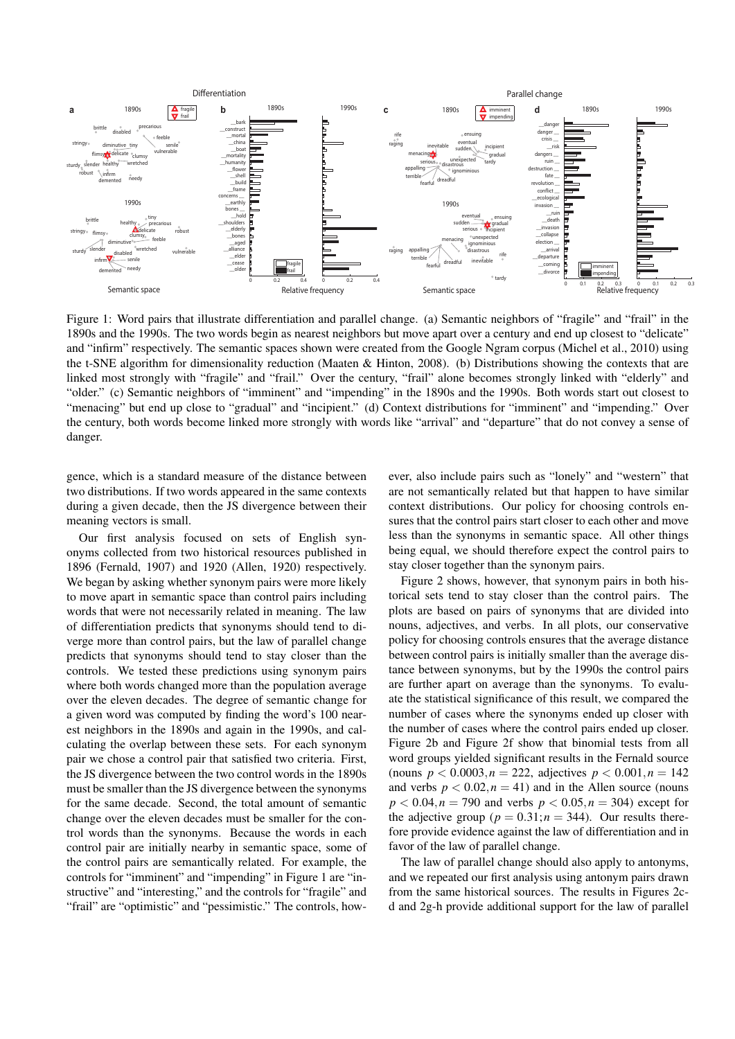

Figure 1: Word pairs that illustrate differentiation and parallel change. (a) Semantic neighbors of "fragile" and "frail" in the 1890s and the 1990s. The two words begin as nearest neighbors but move apart over a century and end up closest to "delicate" and "infirm" respectively. The semantic spaces shown were created from the Google Ngram corpus (Michel et al., 2010) using the t-SNE algorithm for dimensionality reduction (Maaten & Hinton, 2008). (b) Distributions showing the contexts that are linked most strongly with "fragile" and "frail." Over the century, "frail" alone becomes strongly linked with "elderly" and "older." (c) Semantic neighbors of "imminent" and "impending" in the 1890s and the 1990s. Both words start out closest to "menacing" but end up close to "gradual" and "incipient." (d) Context distributions for "imminent" and "impending." Over the century, both words become linked more strongly with words like "arrival" and "departure" that do not convey a sense of danger.

gence, which is a standard measure of the distance between two distributions. If two words appeared in the same contexts during a given decade, then the JS divergence between their meaning vectors is small.

Our first analysis focused on sets of English synonyms collected from two historical resources published in 1896 (Fernald, 1907) and 1920 (Allen, 1920) respectively. We began by asking whether synonym pairs were more likely to move apart in semantic space than control pairs including words that were not necessarily related in meaning. The law of differentiation predicts that synonyms should tend to diverge more than control pairs, but the law of parallel change predicts that synonyms should tend to stay closer than the controls. We tested these predictions using synonym pairs where both words changed more than the population average over the eleven decades. The degree of semantic change for a given word was computed by finding the word's 100 nearest neighbors in the 1890s and again in the 1990s, and calculating the overlap between these sets. For each synonym pair we chose a control pair that satisfied two criteria. First, the JS divergence between the two control words in the 1890s must be smaller than the JS divergence between the synonyms for the same decade. Second, the total amount of semantic change over the eleven decades must be smaller for the control words than the synonyms. Because the words in each control pair are initially nearby in semantic space, some of the control pairs are semantically related. For example, the controls for "imminent" and "impending" in Figure 1 are "instructive" and "interesting," and the controls for "fragile" and "frail" are "optimistic" and "pessimistic." The controls, however, also include pairs such as "lonely" and "western" that are not semantically related but that happen to have similar context distributions. Our policy for choosing controls ensures that the control pairs start closer to each other and move less than the synonyms in semantic space. All other things being equal, we should therefore expect the control pairs to stay closer together than the synonym pairs.

Figure 2 shows, however, that synonym pairs in both historical sets tend to stay closer than the control pairs. The plots are based on pairs of synonyms that are divided into nouns, adjectives, and verbs. In all plots, our conservative policy for choosing controls ensures that the average distance between control pairs is initially smaller than the average distance between synonyms, but by the 1990s the control pairs are further apart on average than the synonyms. To evaluate the statistical significance of this result, we compared the number of cases where the synonyms ended up closer with the number of cases where the control pairs ended up closer. Figure 2b and Figure 2f show that binomial tests from all word groups yielded significant results in the Fernald source (nouns  $p < 0.0003, n = 222$ , adjectives  $p < 0.001, n = 142$ ) and verbs  $p < 0.02, n = 41$ ) and in the Allen source (nouns  $p < 0.04, n = 790$  and verbs  $p < 0.05, n = 304$ ) except for the adjective group ( $p = 0.31; n = 344$ ). Our results therefore provide evidence against the law of differentiation and in favor of the law of parallel change.

The law of parallel change should also apply to antonyms, and we repeated our first analysis using antonym pairs drawn from the same historical sources. The results in Figures 2cd and 2g-h provide additional support for the law of parallel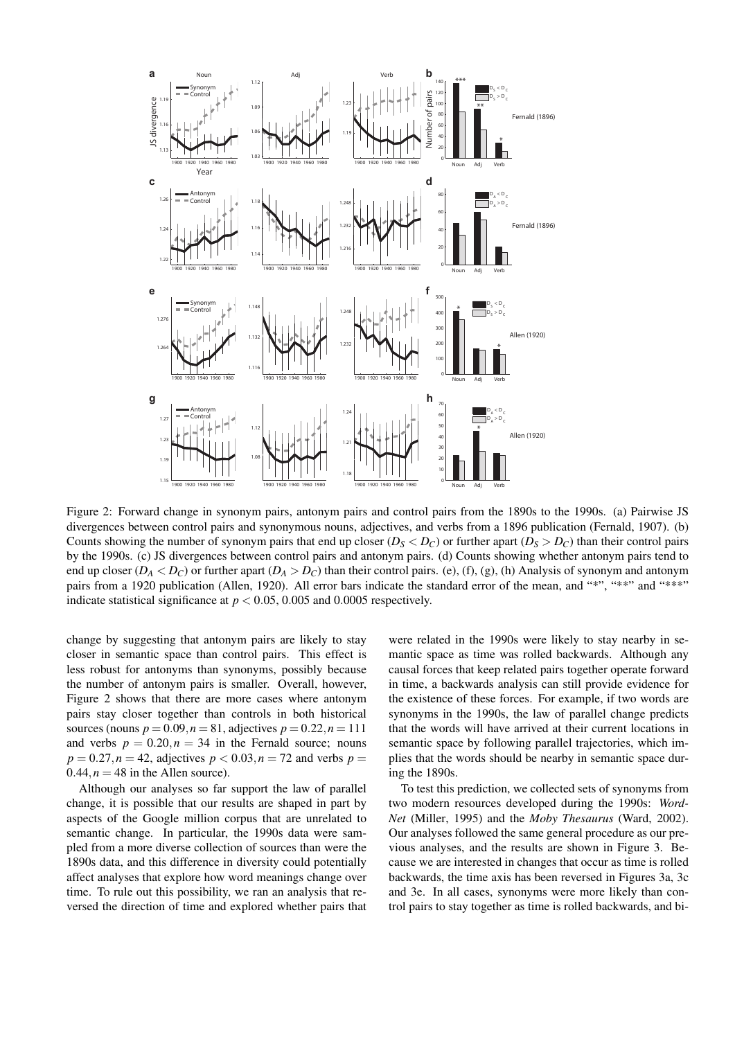

Figure 2: Forward change in synonym pairs, antonym pairs and control pairs from the 1890s to the 1990s. (a) Pairwise JS divergences between control pairs and synonymous nouns, adjectives, and verbs from a 1896 publication (Fernald, 1907). (b) Counts showing the number of synonym pairs that end up closer ( $D_S < D_C$ ) or further apart ( $D_S > D_C$ ) than their control pairs by the 1990s. (c) JS divergences between control pairs and antonym pairs. (d) Counts showing whether antonym pairs tend to end up closer  $(D_A < D_C)$  or further apart  $(D_A > D_C)$  than their control pairs. (e), (f), (g), (h) Analysis of synonym and antonym pairs from a 1920 publication (Allen, 1920). All error bars indicate the standard error of the mean, and "\*", "\*\*" and "\*\*\*" indicate statistical significance at  $p < 0.05$ , 0.005 and 0.0005 respectively.

change by suggesting that antonym pairs are likely to stay closer in semantic space than control pairs. This effect is less robust for antonyms than synonyms, possibly because the number of antonym pairs is smaller. Overall, however, Figure 2 shows that there are more cases where antonym pairs stay closer together than controls in both historical sources (nouns  $p = 0.09, n = 81$ , adjectives  $p = 0.22, n = 111$ and verbs  $p = 0.20, n = 34$  in the Fernald source; nouns  $p = 0.27, n = 42$ , adjectives  $p < 0.03, n = 72$  and verbs  $p =$  $0.44, n = 48$  in the Allen source).

Although our analyses so far support the law of parallel change, it is possible that our results are shaped in part by aspects of the Google million corpus that are unrelated to semantic change. In particular, the 1990s data were sampled from a more diverse collection of sources than were the 1890s data, and this difference in diversity could potentially affect analyses that explore how word meanings change over time. To rule out this possibility, we ran an analysis that reversed the direction of time and explored whether pairs that

were related in the 1990s were likely to stay nearby in semantic space as time was rolled backwards. Although any causal forces that keep related pairs together operate forward in time, a backwards analysis can still provide evidence for the existence of these forces. For example, if two words are synonyms in the 1990s, the law of parallel change predicts that the words will have arrived at their current locations in semantic space by following parallel trajectories, which implies that the words should be nearby in semantic space during the 1890s.

To test this prediction, we collected sets of synonyms from two modern resources developed during the 1990s: *Word-Net* (Miller, 1995) and the *Moby Thesaurus* (Ward, 2002). Our analyses followed the same general procedure as our previous analyses, and the results are shown in Figure 3. Because we are interested in changes that occur as time is rolled backwards, the time axis has been reversed in Figures 3a, 3c and 3e. In all cases, synonyms were more likely than control pairs to stay together as time is rolled backwards, and bi-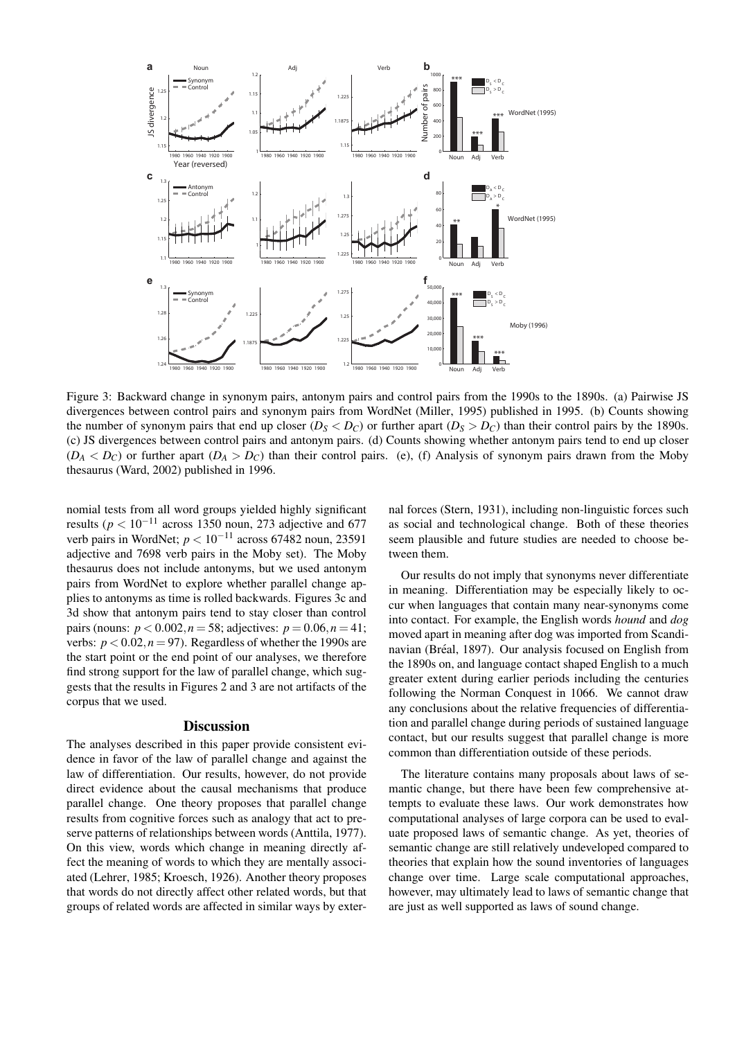

Figure 3: Backward change in synonym pairs, antonym pairs and control pairs from the 1990s to the 1890s. (a) Pairwise JS divergences between control pairs and synonym pairs from WordNet (Miller, 1995) published in 1995. (b) Counts showing the number of synonym pairs that end up closer  $(D_S < D_C)$  or further apart  $(D_S > D_C)$  than their control pairs by the 1890s. (c) JS divergences between control pairs and antonym pairs. (d) Counts showing whether antonym pairs tend to end up closer  $(D_A < D_C)$  or further apart  $(D_A > D_C)$  than their control pairs. (e), (f) Analysis of synonym pairs drawn from the Moby thesaurus (Ward, 2002) published in 1996.

nomial tests from all word groups yielded highly significant results ( $p < 10^{-11}$  across 1350 noun, 273 adjective and 677 verb pairs in WordNet; *p <* 10*−*<sup>11</sup> across 67482 noun, 23591 adjective and 7698 verb pairs in the Moby set). The Moby thesaurus does not include antonyms, but we used antonym pairs from WordNet to explore whether parallel change applies to antonyms as time is rolled backwards. Figures 3c and 3d show that antonym pairs tend to stay closer than control pairs (nouns:  $p < 0.002, n = 58$ ; adjectives:  $p = 0.06, n = 41$ ; verbs:  $p < 0.02, n = 97$ ). Regardless of whether the 1990s are the start point or the end point of our analyses, we therefore find strong support for the law of parallel change, which suggests that the results in Figures 2 and 3 are not artifacts of the corpus that we used.

#### **Discussion**

The analyses described in this paper provide consistent evidence in favor of the law of parallel change and against the law of differentiation. Our results, however, do not provide direct evidence about the causal mechanisms that produce parallel change. One theory proposes that parallel change results from cognitive forces such as analogy that act to preserve patterns of relationships between words (Anttila, 1977). On this view, words which change in meaning directly affect the meaning of words to which they are mentally associated (Lehrer, 1985; Kroesch, 1926). Another theory proposes that words do not directly affect other related words, but that groups of related words are affected in similar ways by exter-

nal forces (Stern, 1931), including non-linguistic forces such as social and technological change. Both of these theories seem plausible and future studies are needed to choose between them.

Our results do not imply that synonyms never differentiate in meaning. Differentiation may be especially likely to occur when languages that contain many near-synonyms come into contact. For example, the English words *hound* and *dog* moved apart in meaning after dog was imported from Scandinavian (Bréal, 1897). Our analysis focused on English from the 1890s on, and language contact shaped English to a much greater extent during earlier periods including the centuries following the Norman Conquest in 1066. We cannot draw any conclusions about the relative frequencies of differentiation and parallel change during periods of sustained language contact, but our results suggest that parallel change is more common than differentiation outside of these periods.

The literature contains many proposals about laws of semantic change, but there have been few comprehensive attempts to evaluate these laws. Our work demonstrates how computational analyses of large corpora can be used to evaluate proposed laws of semantic change. As yet, theories of semantic change are still relatively undeveloped compared to theories that explain how the sound inventories of languages change over time. Large scale computational approaches, however, may ultimately lead to laws of semantic change that are just as well supported as laws of sound change.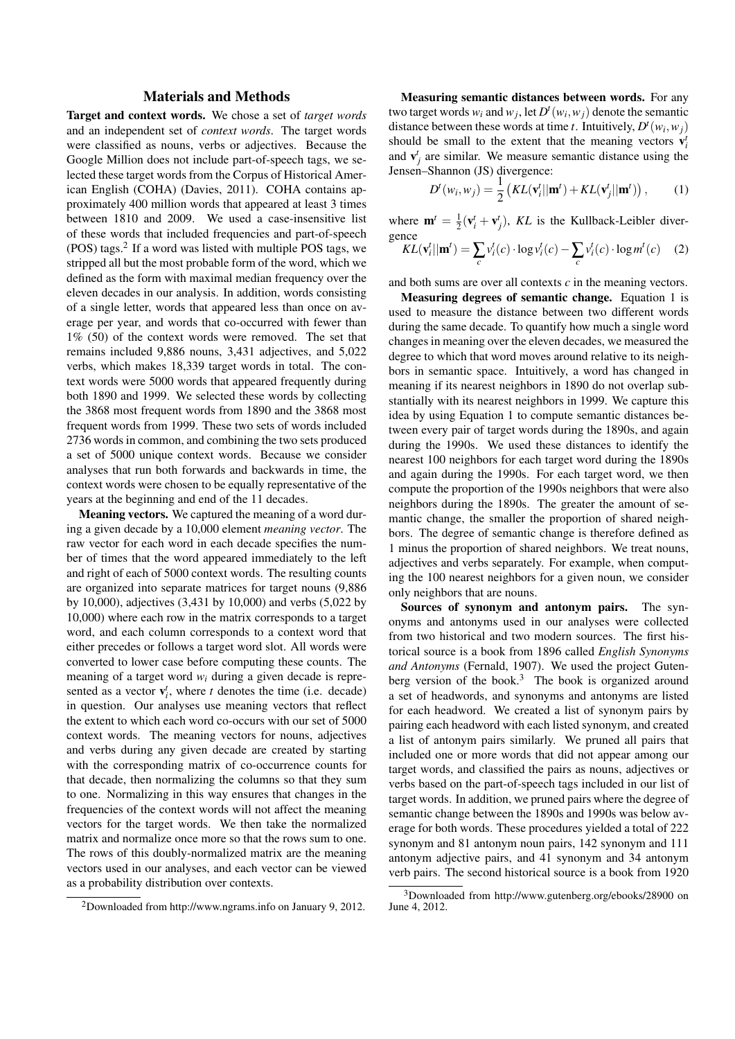## Materials and Methods

Target and context words. We chose a set of *target words* and an independent set of *context words*. The target words were classified as nouns, verbs or adjectives. Because the Google Million does not include part-of-speech tags, we selected these target words from the Corpus of Historical American English (COHA) (Davies, 2011). COHA contains approximately 400 million words that appeared at least 3 times between 1810 and 2009. We used a case-insensitive list of these words that included frequencies and part-of-speech (POS) tags. $2$  If a word was listed with multiple POS tags, we stripped all but the most probable form of the word, which we defined as the form with maximal median frequency over the eleven decades in our analysis. In addition, words consisting of a single letter, words that appeared less than once on average per year, and words that co-occurred with fewer than 1% (50) of the context words were removed. The set that remains included 9,886 nouns, 3,431 adjectives, and 5,022 verbs, which makes 18,339 target words in total. The context words were 5000 words that appeared frequently during both 1890 and 1999. We selected these words by collecting the 3868 most frequent words from 1890 and the 3868 most frequent words from 1999. These two sets of words included 2736 words in common, and combining the two sets produced a set of 5000 unique context words. Because we consider analyses that run both forwards and backwards in time, the context words were chosen to be equally representative of the years at the beginning and end of the 11 decades.

Meaning vectors. We captured the meaning of a word during a given decade by a 10,000 element *meaning vector*. The raw vector for each word in each decade specifies the number of times that the word appeared immediately to the left and right of each of 5000 context words. The resulting counts are organized into separate matrices for target nouns (9,886 by 10,000), adjectives (3,431 by 10,000) and verbs (5,022 by 10,000) where each row in the matrix corresponds to a target word, and each column corresponds to a context word that either precedes or follows a target word slot. All words were converted to lower case before computing these counts. The meaning of a target word  $w_i$  during a given decade is represented as a vector  $\mathbf{v}_i^t$ , where *t* denotes the time (i.e. decade) in question. Our analyses use meaning vectors that reflect the extent to which each word co-occurs with our set of 5000 context words. The meaning vectors for nouns, adjectives and verbs during any given decade are created by starting with the corresponding matrix of co-occurrence counts for that decade, then normalizing the columns so that they sum to one. Normalizing in this way ensures that changes in the frequencies of the context words will not affect the meaning vectors for the target words. We then take the normalized matrix and normalize once more so that the rows sum to one. The rows of this doubly-normalized matrix are the meaning vectors used in our analyses, and each vector can be viewed as a probability distribution over contexts.

Measuring semantic distances between words. For any two target words  $w_i$  and  $w_j$ , let  $D^t(w_i, w_j)$  denote the semantic distance between these words at time *t*. Intuitively,  $D^t(w_i, w_j)$ should be small to the extent that the meaning vectors  $\mathbf{v}_i^l$ and  $\mathbf{v}_j^t$  are similar. We measure semantic distance using the Jensen–Shannon (JS) divergence:

$$
D^{t}(w_{i}, w_{j}) = \frac{1}{2} \left( KL(\mathbf{v}_{i}^{t}||\mathbf{m}^{t}) + KL(\mathbf{v}_{j}^{t}||\mathbf{m}^{t}) \right), \qquad (1)
$$

where  $\mathbf{m}^t = \frac{1}{2}(\mathbf{v}_i^t + \mathbf{v}_j^t)$ , *KL* is the Kullback-Leibler divergence

$$
KL(\mathbf{v}_i^t||\mathbf{m}^t) = \sum_c v_i^t(c) \cdot \log v_i^t(c) - \sum_c v_i^t(c) \cdot \log m^t(c) \quad (2)
$$

and both sums are over all contexts *c* in the meaning vectors.

Measuring degrees of semantic change. Equation 1 is used to measure the distance between two different words during the same decade. To quantify how much a single word changes in meaning over the eleven decades, we measured the degree to which that word moves around relative to its neighbors in semantic space. Intuitively, a word has changed in meaning if its nearest neighbors in 1890 do not overlap substantially with its nearest neighbors in 1999. We capture this idea by using Equation 1 to compute semantic distances between every pair of target words during the 1890s, and again during the 1990s. We used these distances to identify the nearest 100 neighbors for each target word during the 1890s and again during the 1990s. For each target word, we then compute the proportion of the 1990s neighbors that were also neighbors during the 1890s. The greater the amount of semantic change, the smaller the proportion of shared neighbors. The degree of semantic change is therefore defined as 1 minus the proportion of shared neighbors. We treat nouns, adjectives and verbs separately. For example, when computing the 100 nearest neighbors for a given noun, we consider only neighbors that are nouns.

Sources of synonym and antonym pairs. The synonyms and antonyms used in our analyses were collected from two historical and two modern sources. The first historical source is a book from 1896 called *English Synonyms and Antonyms* (Fernald, 1907). We used the project Gutenberg version of the book.<sup>3</sup> The book is organized around a set of headwords, and synonyms and antonyms are listed for each headword. We created a list of synonym pairs by pairing each headword with each listed synonym, and created a list of antonym pairs similarly. We pruned all pairs that included one or more words that did not appear among our target words, and classified the pairs as nouns, adjectives or verbs based on the part-of-speech tags included in our list of target words. In addition, we pruned pairs where the degree of semantic change between the 1890s and 1990s was below average for both words. These procedures yielded a total of 222 synonym and 81 antonym noun pairs, 142 synonym and 111 antonym adjective pairs, and 41 synonym and 34 antonym verb pairs. The second historical source is a book from 1920

<sup>2</sup>Downloaded from http://www.ngrams.info on January 9, 2012.

<sup>3</sup>Downloaded from http://www.gutenberg.org/ebooks/28900 on June 4, 2012.